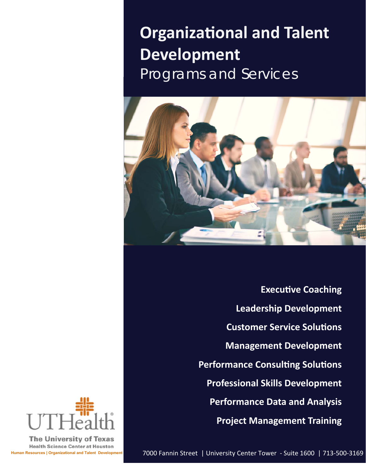# **Organizational and Talent Development**  Programs and Services



**Executive Coaching Leadership Development Customer Service Solutions Management Development Performance Consulting Solutions Professional Skills Development Performance Data and Analysis Project Management Training** 



**The University of Texas Health Science Center at Houston**